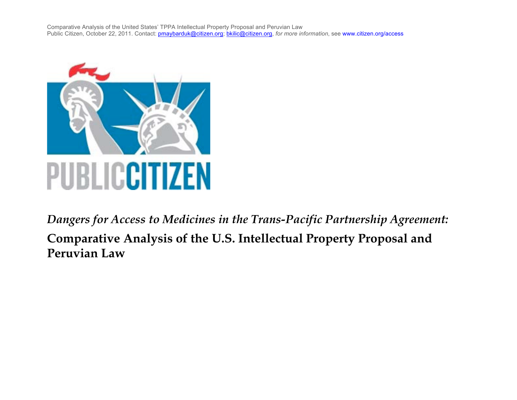

*Dangers for Access to Medicines in the Trans-Pacific Partnership Agreement:* **Comparative Analysis of the U.S. Intellectual Property Proposal and Peruvian Law**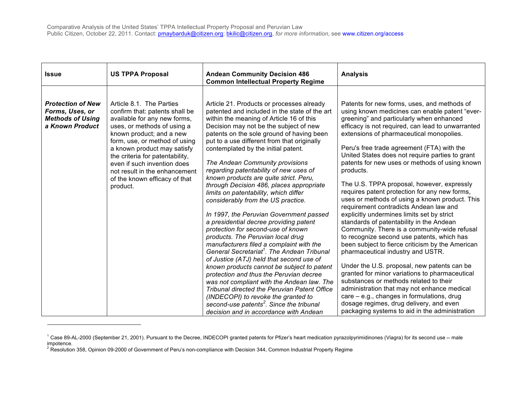| <b>Issue</b>                                                                              | <b>US TPPA Proposal</b>                                                                                                                                                                                                                                                                                                                                               | <b>Andean Community Decision 486</b><br><b>Common Intellectual Property Regime</b>                                                                                                                                                                                                                                                                                                                                                                                                                                                                                                                                                                                                                                                                                                                                                                                                                                                                                                                                             | <b>Analysis</b>                                                                                                                                                                                                                                                                                                                                                                                                                                                                                                                                                                                                                                                                                                                                                                                                                                                                                                                                                                                                                   |
|-------------------------------------------------------------------------------------------|-----------------------------------------------------------------------------------------------------------------------------------------------------------------------------------------------------------------------------------------------------------------------------------------------------------------------------------------------------------------------|--------------------------------------------------------------------------------------------------------------------------------------------------------------------------------------------------------------------------------------------------------------------------------------------------------------------------------------------------------------------------------------------------------------------------------------------------------------------------------------------------------------------------------------------------------------------------------------------------------------------------------------------------------------------------------------------------------------------------------------------------------------------------------------------------------------------------------------------------------------------------------------------------------------------------------------------------------------------------------------------------------------------------------|-----------------------------------------------------------------------------------------------------------------------------------------------------------------------------------------------------------------------------------------------------------------------------------------------------------------------------------------------------------------------------------------------------------------------------------------------------------------------------------------------------------------------------------------------------------------------------------------------------------------------------------------------------------------------------------------------------------------------------------------------------------------------------------------------------------------------------------------------------------------------------------------------------------------------------------------------------------------------------------------------------------------------------------|
| <b>Protection of New</b><br>Forms, Uses, or<br><b>Methods of Using</b><br>a Known Product | Article 8.1. The Parties<br>confirm that: patents shall be<br>available for any new forms,<br>uses, or methods of using a<br>known product; and a new<br>form, use, or method of using<br>a known product may satisfy<br>the criteria for patentability,<br>even if such invention does<br>not result in the enhancement<br>of the known efficacy of that<br>product. | Article 21. Products or processes already<br>patented and included in the state of the art<br>within the meaning of Article 16 of this<br>Decision may not be the subject of new<br>patents on the sole ground of having been<br>put to a use different from that originally<br>contemplated by the initial patent.<br>The Andean Community provisions<br>regarding patentability of new uses of<br>known products are quite strict. Peru,<br>through Decision 486, places appropriate<br>limits on patentability, which differ<br>considerably from the US practice.<br>In 1997, the Peruvian Government passed<br>a presidential decree providing patent<br>protection for second-use of known<br>products. The Peruvian local drug<br>manufacturers filed a complaint with the<br>General Secretariat <sup>1</sup> . The Andean Tribunal<br>of Justice (ATJ) held that second use of<br>known products cannot be subject to patent<br>protection and thus the Peruvian decree<br>was not compliant with the Andean law. The | Patents for new forms, uses, and methods of<br>using known medicines can enable patent "ever-<br>greening" and particularly when enhanced<br>efficacy is not required, can lead to unwarranted<br>extensions of pharmaceutical monopolies.<br>Peru's free trade agreement (FTA) with the<br>United States does not require parties to grant<br>patents for new uses or methods of using known<br>products.<br>The U.S. TPPA proposal, however, expressly<br>requires patent protection for any new forms,<br>uses or methods of using a known product. This<br>requirement contradicts Andean law and<br>explicitly undermines limits set by strict<br>standards of patentability in the Andean<br>Community. There is a community-wide refusal<br>to recognize second use patents, which has<br>been subject to fierce criticism by the American<br>pharmaceutical industry and USTR.<br>Under the U.S. proposal, new patents can be<br>granted for minor variations to pharmaceutical<br>substances or methods related to their |
|                                                                                           |                                                                                                                                                                                                                                                                                                                                                                       | <b>Tribunal directed the Peruvian Patent Office</b><br>(INDECOPI) to revoke the granted to<br>second-use patents <sup>2</sup> . Since the tribunal<br>decision and in accordance with Andean                                                                                                                                                                                                                                                                                                                                                                                                                                                                                                                                                                                                                                                                                                                                                                                                                                   | administration that may not enhance medical<br>$care - e.g., changes in formulations, drug$<br>dosage regimes, drug delivery, and even<br>packaging systems to aid in the administration                                                                                                                                                                                                                                                                                                                                                                                                                                                                                                                                                                                                                                                                                                                                                                                                                                          |

<sup>&</sup>lt;sup>1</sup> Case 89-AL-2000 (September 21, 2001). Pursuant to the Decree, INDECOPI granted patents for Pfizer's heart medication pyrazolpyrimidinones (Viagra) for its second use -- male impotence.

!!!!!!!!!!!!!!!!!!!!!!!!!!!!!!!!!!!!!!!!!!!!!!!!!!!!!!!

<sup>&</sup>lt;sup>2</sup> Resolution 358, Opinion 09-2000 of Government of Peru's non-compliance with Decision 344, Common Industrial Property Regime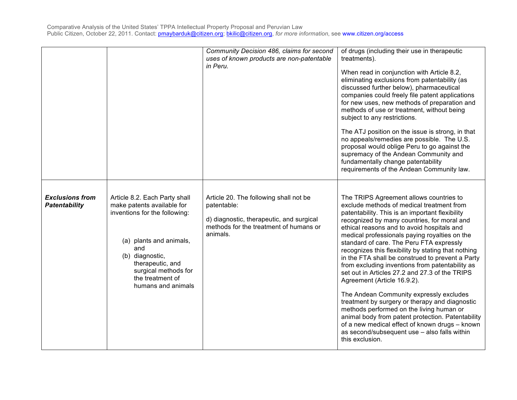|                                                |                                                                                                                                                                                                                                         | Community Decision 486, claims for second<br>uses of known products are non-patentable<br>in Peru.                                                      | of drugs (including their use in therapeutic<br>treatments).<br>When read in conjunction with Article 8.2,<br>eliminating exclusions from patentability (as<br>discussed further below), pharmaceutical<br>companies could freely file patent applications<br>for new uses, new methods of preparation and<br>methods of use or treatment, without being<br>subject to any restrictions.<br>The ATJ position on the issue is strong, in that<br>no appeals/remedies are possible. The U.S.<br>proposal would oblige Peru to go against the<br>supremacy of the Andean Community and<br>fundamentally change patentability<br>requirements of the Andean Community law.                                                                                                                                                                                                                              |
|------------------------------------------------|-----------------------------------------------------------------------------------------------------------------------------------------------------------------------------------------------------------------------------------------|---------------------------------------------------------------------------------------------------------------------------------------------------------|-----------------------------------------------------------------------------------------------------------------------------------------------------------------------------------------------------------------------------------------------------------------------------------------------------------------------------------------------------------------------------------------------------------------------------------------------------------------------------------------------------------------------------------------------------------------------------------------------------------------------------------------------------------------------------------------------------------------------------------------------------------------------------------------------------------------------------------------------------------------------------------------------------|
| <b>Exclusions from</b><br><b>Patentability</b> | Article 8.2. Each Party shall<br>make patents available for<br>inventions for the following:<br>(a) plants and animals,<br>and<br>(b) diagnostic,<br>therapeutic, and<br>surgical methods for<br>the treatment of<br>humans and animals | Article 20. The following shall not be<br>patentable:<br>d) diagnostic, therapeutic, and surgical<br>methods for the treatment of humans or<br>animals. | The TRIPS Agreement allows countries to<br>exclude methods of medical treatment from<br>patentability. This is an important flexibility<br>recognized by many countries, for moral and<br>ethical reasons and to avoid hospitals and<br>medical professionals paying royalties on the<br>standard of care. The Peru FTA expressly<br>recognizes this flexibility by stating that nothing<br>in the FTA shall be construed to prevent a Party<br>from excluding inventions from patentability as<br>set out in Articles 27.2 and 27.3 of the TRIPS<br>Agreement (Article 16.9.2).<br>The Andean Community expressly excludes<br>treatment by surgery or therapy and diagnostic<br>methods performed on the living human or<br>animal body from patent protection. Patentability<br>of a new medical effect of known drugs - known<br>as second/subsequent use - also falls within<br>this exclusion. |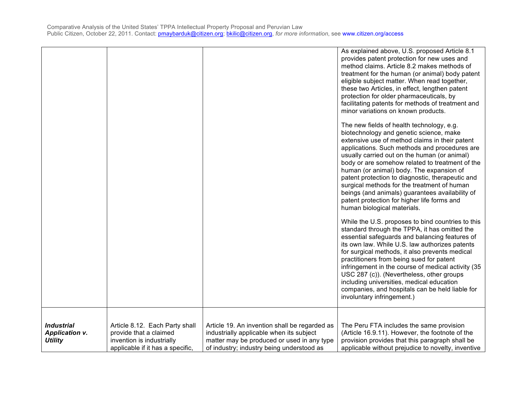|                       |                                  |                                               | As explained above, U.S. proposed Article 8.1      |
|-----------------------|----------------------------------|-----------------------------------------------|----------------------------------------------------|
|                       |                                  |                                               | provides patent protection for new uses and        |
|                       |                                  |                                               | method claims. Article 8.2 makes methods of        |
|                       |                                  |                                               | treatment for the human (or animal) body patent    |
|                       |                                  |                                               | eligible subject matter. When read together,       |
|                       |                                  |                                               | these two Articles, in effect, lengthen patent     |
|                       |                                  |                                               | protection for older pharmaceuticals, by           |
|                       |                                  |                                               | facilitating patents for methods of treatment and  |
|                       |                                  |                                               | minor variations on known products.                |
|                       |                                  |                                               |                                                    |
|                       |                                  |                                               | The new fields of health technology, e.g.          |
|                       |                                  |                                               | biotechnology and genetic science, make            |
|                       |                                  |                                               | extensive use of method claims in their patent     |
|                       |                                  |                                               | applications. Such methods and procedures are      |
|                       |                                  |                                               | usually carried out on the human (or animal)       |
|                       |                                  |                                               |                                                    |
|                       |                                  |                                               | body or are somehow related to treatment of the    |
|                       |                                  |                                               | human (or animal) body. The expansion of           |
|                       |                                  |                                               | patent protection to diagnostic, therapeutic and   |
|                       |                                  |                                               | surgical methods for the treatment of human        |
|                       |                                  |                                               | beings (and animals) guarantees availability of    |
|                       |                                  |                                               | patent protection for higher life forms and        |
|                       |                                  |                                               | human biological materials.                        |
|                       |                                  |                                               |                                                    |
|                       |                                  |                                               | While the U.S. proposes to bind countries to this  |
|                       |                                  |                                               | standard through the TPPA, it has omitted the      |
|                       |                                  |                                               | essential safeguards and balancing features of     |
|                       |                                  |                                               | its own law. While U.S. law authorizes patents     |
|                       |                                  |                                               | for surgical methods, it also prevents medical     |
|                       |                                  |                                               | practitioners from being sued for patent           |
|                       |                                  |                                               | infringement in the course of medical activity (35 |
|                       |                                  |                                               | USC 287 (c)). (Nevertheless, other groups          |
|                       |                                  |                                               | including universities, medical education          |
|                       |                                  |                                               | companies, and hospitals can be held liable for    |
|                       |                                  |                                               | involuntary infringement.)                         |
|                       |                                  |                                               |                                                    |
|                       |                                  |                                               |                                                    |
|                       |                                  |                                               |                                                    |
| <b>Industrial</b>     | Article 8.12. Each Party shall   | Article 19. An invention shall be regarded as | The Peru FTA includes the same provision           |
| <b>Application v.</b> | provide that a claimed           | industrially applicable when its subject      | (Article 16.9.11). However, the footnote of the    |
| <b>Utility</b>        | invention is industrially        | matter may be produced or used in any type    | provision provides that this paragraph shall be    |
|                       | applicable if it has a specific. | of industry; industry being understood as     | applicable without prejudice to novelty, inventive |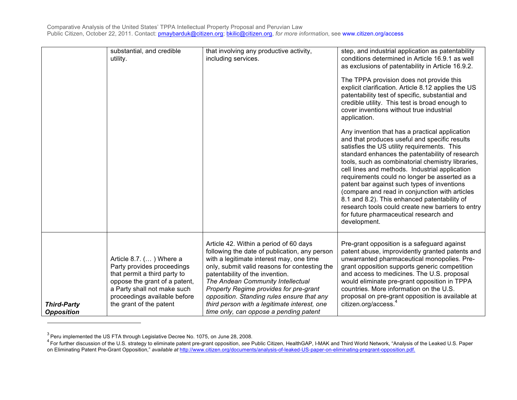|                                         | substantial, and credible<br>utility.                                                                                                                                                                            | that involving any productive activity,<br>including services.                                                                                                                                                                                                                                                                                                                                                                                 | step, and industrial application as patentability<br>conditions determined in Article 16.9.1 as well<br>as exclusions of patentability in Article 16.9.2.<br>The TPPA provision does not provide this<br>explicit clarification. Article 8.12 applies the US<br>patentability test of specific, substantial and<br>credible utility. This test is broad enough to<br>cover inventions without true industrial<br>application.<br>Any invention that has a practical application<br>and that produces useful and specific results<br>satisfies the US utility requirements. This<br>standard enhances the patentability of research<br>tools, such as combinatorial chemistry libraries,<br>cell lines and methods. Industrial application<br>requirements could no longer be asserted as a<br>patent bar against such types of inventions<br>(compare and read in conjunction with articles<br>8.1 and 8.2). This enhanced patentability of<br>research tools could create new barriers to entry<br>for future pharmaceutical research and<br>development. |
|-----------------------------------------|------------------------------------------------------------------------------------------------------------------------------------------------------------------------------------------------------------------|------------------------------------------------------------------------------------------------------------------------------------------------------------------------------------------------------------------------------------------------------------------------------------------------------------------------------------------------------------------------------------------------------------------------------------------------|------------------------------------------------------------------------------------------------------------------------------------------------------------------------------------------------------------------------------------------------------------------------------------------------------------------------------------------------------------------------------------------------------------------------------------------------------------------------------------------------------------------------------------------------------------------------------------------------------------------------------------------------------------------------------------------------------------------------------------------------------------------------------------------------------------------------------------------------------------------------------------------------------------------------------------------------------------------------------------------------------------------------------------------------------------|
| <b>Third-Party</b><br><b>Opposition</b> | Article 8.7. () Where a<br>Party provides proceedings<br>that permit a third party to<br>oppose the grant of a patent,<br>a Party shall not make such<br>proceedings available before<br>the grant of the patent | Article 42. Within a period of 60 days<br>following the date of publication, any person<br>with a legitimate interest may, one time<br>only, submit valid reasons for contesting the<br>patentability of the invention.<br>The Andean Community Intellectual<br>Property Regime provides for pre-grant<br>opposition. Standing rules ensure that any<br>third person with a legitimate interest, one<br>time only, can oppose a pending patent | Pre-grant opposition is a safeguard against<br>patent abuse, improvidently granted patents and<br>unwarranted pharmaceutical monopolies. Pre-<br>grant opposition supports generic competition<br>and access to medicines. The U.S. proposal<br>would eliminate pre-grant opposition in TPPA<br>countries. More information on the U.S.<br>proposal on pre-grant opposition is available at<br>citizen.org/access. <sup>4</sup>                                                                                                                                                                                                                                                                                                                                                                                                                                                                                                                                                                                                                            |

 $^3$  Peru implemented the US FTA through Legislative Decree No. 1075, on June 28, 2008.

!!!!!!!!!!!!!!!!!!!!!!!!!!!!!!!!!!!!!!!!!!!!!!!!!!!!!!!

<sup>4</sup> For further discussion of the U.S. strategy to eliminate patent pre-grant opposition, *see* Public Citizen, HealthGAP, I-MAK and Third World Network, "Analysis of the Leaked U.S. Paper on Eliminating Patent Pre-Grant Opposition," *available at* http://www.citizen.org/documents/analysis-of-leaked-US-paper-on-eliminating-pregrant-opposition.pdf.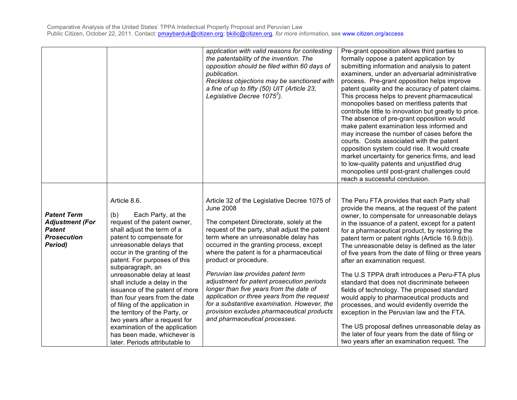|                                                                                                |                                                                                                                                                                                                                                                                                                                                                                                                                                                                                                                                                                                                | application with valid reasons for contesting<br>the patentability of the invention. The<br>opposition should be filed within 60 days of<br>publication.<br>Reckless objections may be sanctioned with<br>a fine of up to fifty (50) UIT (Article 23,<br>Legislative Decree 1075 <sup>3</sup> ).                                                                                                                                                                                                                                                                                                                                 | Pre-grant opposition allows third parties to<br>formally oppose a patent application by<br>submitting information and analysis to patent<br>examiners, under an adversarial administrative<br>process. Pre-grant opposition helps improve<br>patent quality and the accuracy of patent claims.<br>This process helps to prevent pharmaceutical<br>monopolies based on meritless patents that<br>contribute little to innovation but greatly to price.<br>The absence of pre-grant opposition would<br>make patent examination less informed and<br>may increase the number of cases before the<br>courts. Costs associated with the patent<br>opposition system could rise. It would create<br>market uncertainty for generics firms, and lead<br>to low-quality patents and unjustified drug<br>monopolies until post-grant challenges could<br>reach a successful conclusion.                      |
|------------------------------------------------------------------------------------------------|------------------------------------------------------------------------------------------------------------------------------------------------------------------------------------------------------------------------------------------------------------------------------------------------------------------------------------------------------------------------------------------------------------------------------------------------------------------------------------------------------------------------------------------------------------------------------------------------|----------------------------------------------------------------------------------------------------------------------------------------------------------------------------------------------------------------------------------------------------------------------------------------------------------------------------------------------------------------------------------------------------------------------------------------------------------------------------------------------------------------------------------------------------------------------------------------------------------------------------------|------------------------------------------------------------------------------------------------------------------------------------------------------------------------------------------------------------------------------------------------------------------------------------------------------------------------------------------------------------------------------------------------------------------------------------------------------------------------------------------------------------------------------------------------------------------------------------------------------------------------------------------------------------------------------------------------------------------------------------------------------------------------------------------------------------------------------------------------------------------------------------------------------|
| <b>Patent Term</b><br><b>Adjustment (For</b><br><b>Patent</b><br><b>Prosecution</b><br>Period) | Article 8.6.<br>Each Party, at the<br>(b)<br>request of the patent owner,<br>shall adjust the term of a<br>patent to compensate for<br>unreasonable delays that<br>occur in the granting of the<br>patent. For purposes of this<br>subparagraph, an<br>unreasonable delay at least<br>shall include a delay in the<br>issuance of the patent of more<br>than four years from the date<br>of filing of the application in<br>the territory of the Party, or<br>two years after a request for<br>examination of the application<br>has been made, whichever is<br>later. Periods attributable to | Article 32 of the Legislative Decree 1075 of<br><b>June 2008</b><br>The competent Directorate, solely at the<br>request of the party, shall adjust the patent<br>term where an unreasonable delay has<br>occurred in the granting process, except<br>where the patent is for a pharmaceutical<br>product or procedure.<br>Peruvian law provides patent term<br>adjustment for patent prosecution periods<br>longer than five years from the date of<br>application or three years from the request<br>for a substantive examination. However, the<br>provision excludes pharmaceutical products<br>and pharmaceutical processes. | The Peru FTA provides that each Party shall<br>provide the means, at the request of the patent<br>owner, to compensate for unreasonable delays<br>in the issuance of a patent, except for a patent<br>for a pharmaceutical product, by restoring the<br>patent term or patent rights (Article 16.9.6(b)).<br>The unreasonable delay is defined as the later<br>of five years from the date of filing or three years<br>after an examination request.<br>The U.S TPPA draft introduces a Peru-FTA plus<br>standard that does not discriminate between<br>fields of technology. The proposed standard<br>would apply to pharmaceutical products and<br>processes, and would evidently override the<br>exception in the Peruvian law and the FTA.<br>The US proposal defines unreasonable delay as<br>the later of four years from the date of filing or<br>two years after an examination request. The |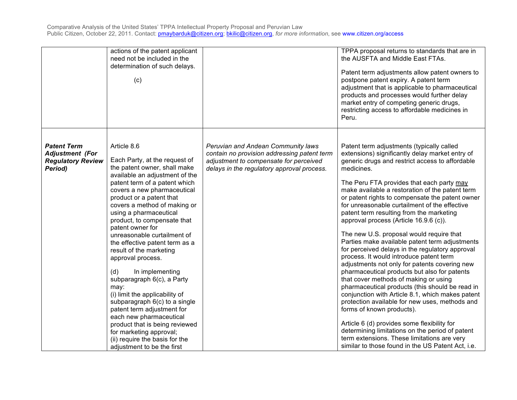|                                                                                     | actions of the patent applicant<br>need not be included in the<br>determination of such delays.<br>(c)                                                                                                                                                                                                                                                                                                                                                                                                                                                                                                                                                                                                                                                            |                                                                                                                                                                           | TPPA proposal returns to standards that are in<br>the AUSFTA and Middle East FTAs.<br>Patent term adjustments allow patent owners to<br>postpone patent expiry. A patent term<br>adjustment that is applicable to pharmaceutical<br>products and processes would further delay<br>market entry of competing generic drugs,<br>restricting access to affordable medicines in<br>Peru.                                                                                                                                                                                                                                                                                                                                                                                                                                                                                                                                                                                                                                                                                                                                                                                                      |
|-------------------------------------------------------------------------------------|-------------------------------------------------------------------------------------------------------------------------------------------------------------------------------------------------------------------------------------------------------------------------------------------------------------------------------------------------------------------------------------------------------------------------------------------------------------------------------------------------------------------------------------------------------------------------------------------------------------------------------------------------------------------------------------------------------------------------------------------------------------------|---------------------------------------------------------------------------------------------------------------------------------------------------------------------------|-------------------------------------------------------------------------------------------------------------------------------------------------------------------------------------------------------------------------------------------------------------------------------------------------------------------------------------------------------------------------------------------------------------------------------------------------------------------------------------------------------------------------------------------------------------------------------------------------------------------------------------------------------------------------------------------------------------------------------------------------------------------------------------------------------------------------------------------------------------------------------------------------------------------------------------------------------------------------------------------------------------------------------------------------------------------------------------------------------------------------------------------------------------------------------------------|
| <b>Patent Term</b><br><b>Adjustment (For</b><br><b>Regulatory Review</b><br>Period) | Article 8.6<br>Each Party, at the request of<br>the patent owner, shall make<br>available an adjustment of the<br>patent term of a patent which<br>covers a new pharmaceutical<br>product or a patent that<br>covers a method of making or<br>using a pharmaceutical<br>product, to compensate that<br>patent owner for<br>unreasonable curtailment of<br>the effective patent term as a<br>result of the marketing<br>approval process.<br>(d)<br>In implementing<br>subparagraph 6(c), a Party<br>may:<br>(i) limit the applicability of<br>subparagraph 6(c) to a single<br>patent term adjustment for<br>each new pharmaceutical<br>product that is being reviewed<br>for marketing approval;<br>(ii) require the basis for the<br>adjustment to be the first | Peruvian and Andean Community laws<br>contain no provision addressing patent term<br>adjustment to compensate for perceived<br>delays in the regulatory approval process. | Patent term adjustments (typically called<br>extensions) significantly delay market entry of<br>generic drugs and restrict access to affordable<br>medicines.<br>The Peru FTA provides that each party may<br>make available a restoration of the patent term<br>or patent rights to compensate the patent owner<br>for unreasonable curtailment of the effective<br>patent term resulting from the marketing<br>approval process (Article 16.9.6 (c)).<br>The new U.S. proposal would require that<br>Parties make available patent term adjustments<br>for perceived delays in the regulatory approval<br>process. It would introduce patent term<br>adjustments not only for patents covering new<br>pharmaceutical products but also for patents<br>that cover methods of making or using<br>pharmaceutical products (this should be read in<br>conjunction with Article 8.1, which makes patent<br>protection available for new uses, methods and<br>forms of known products).<br>Article 6 (d) provides some flexibility for<br>determining limitations on the period of patent<br>term extensions. These limitations are very<br>similar to those found in the US Patent Act, i.e. |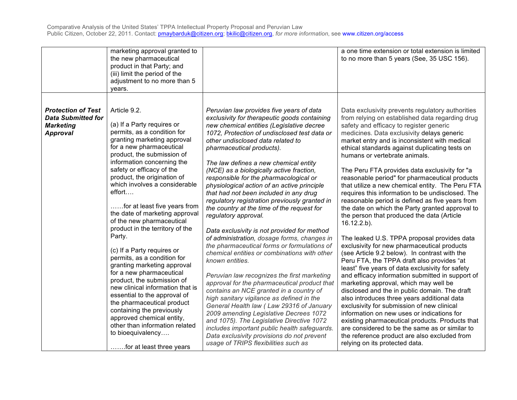|                                                                                               | marketing approval granted to<br>the new pharmaceutical<br>product in that Party; and<br>(iii) limit the period of the<br>adjustment to no more than 5<br>years.                                                                                                                                                                                                                                                                                                                                                                                                                                                                                                                                                                                                                                                             |                                                                                                                                                                                                                                                                                                                                                                                                                                                                                                                                                                                                                                                                                                                                                                                                                                                                                                                                                                                                                                                                                                                                                                                                                                                | a one time extension or total extension is limited<br>to no more than 5 years (See, 35 USC 156).                                                                                                                                                                                                                                                                                                                                                                                                                                                                                                                                                                                                                                                                                                                                                                                                                                                                                                                                                                                                                                                                                                                                                                                                                                                                                                                 |
|-----------------------------------------------------------------------------------------------|------------------------------------------------------------------------------------------------------------------------------------------------------------------------------------------------------------------------------------------------------------------------------------------------------------------------------------------------------------------------------------------------------------------------------------------------------------------------------------------------------------------------------------------------------------------------------------------------------------------------------------------------------------------------------------------------------------------------------------------------------------------------------------------------------------------------------|------------------------------------------------------------------------------------------------------------------------------------------------------------------------------------------------------------------------------------------------------------------------------------------------------------------------------------------------------------------------------------------------------------------------------------------------------------------------------------------------------------------------------------------------------------------------------------------------------------------------------------------------------------------------------------------------------------------------------------------------------------------------------------------------------------------------------------------------------------------------------------------------------------------------------------------------------------------------------------------------------------------------------------------------------------------------------------------------------------------------------------------------------------------------------------------------------------------------------------------------|------------------------------------------------------------------------------------------------------------------------------------------------------------------------------------------------------------------------------------------------------------------------------------------------------------------------------------------------------------------------------------------------------------------------------------------------------------------------------------------------------------------------------------------------------------------------------------------------------------------------------------------------------------------------------------------------------------------------------------------------------------------------------------------------------------------------------------------------------------------------------------------------------------------------------------------------------------------------------------------------------------------------------------------------------------------------------------------------------------------------------------------------------------------------------------------------------------------------------------------------------------------------------------------------------------------------------------------------------------------------------------------------------------------|
| <b>Protection of Test</b><br><b>Data Submitted for</b><br><b>Marketing</b><br><b>Approval</b> | Article 9.2.<br>(a) If a Party requires or<br>permits, as a condition for<br>granting marketing approval<br>for a new pharmaceutical<br>product, the submission of<br>information concerning the<br>safety or efficacy of the<br>product, the origination of<br>which involves a considerable<br>effort<br>for at least five years from<br>the date of marketing approval<br>of the new pharmaceutical<br>product in the territory of the<br>Party.<br>(c) If a Party requires or<br>permits, as a condition for<br>granting marketing approval<br>for a new pharmaceutical<br>product, the submission of<br>new clinical information that is<br>essential to the approval of<br>the pharmaceutical product<br>containing the previously<br>approved chemical entity,<br>other than information related<br>to bioequivalency | Peruvian law provides five years of data<br>exclusivity for therapeutic goods containing<br>new chemical entities (Legislative decree<br>1072, Protection of undisclosed test data or<br>other undisclosed data related to<br>pharmaceutical products).<br>The law defines a new chemical entity<br>(NCE) as a biologically active fraction,<br>responsible for the pharmacological or<br>physiological action of an active principle<br>that had not been included in any drug<br>regulatory registration previously granted in<br>the country at the time of the request for<br>regulatory approval.<br>Data exclusivity is not provided for method<br>of administration, dosage forms, changes in<br>the pharmaceutical forms or formulations of<br>chemical entities or combinations with other<br>known entities.<br>Peruvian law recognizes the first marketing<br>approval for the pharmaceutical product that<br>contains an NCE granted in a country of<br>high sanitary vigilance as defined in the<br>General Health law (Law 29316 of January<br>2009 amending Legislative Decrees 1072<br>and 1075). The Legislative Directive 1072<br>includes important public health safeguards.<br>Data exclusivity provisions do not prevent | Data exclusivity prevents regulatory authorities<br>from relying on established data regarding drug<br>safety and efficacy to register generic<br>medicines. Data exclusivity delays generic<br>market entry and is inconsistent with medical<br>ethical standards against duplicating tests on<br>humans or vertebrate animals.<br>The Peru FTA provides data exclusivity for "a<br>reasonable period" for pharmaceutical products<br>that utilize a new chemical entity. The Peru FTA<br>requires this information to be undisclosed. The<br>reasonable period is defined as five years from<br>the date on which the Party granted approval to<br>the person that produced the data (Article<br>$16.12.2.b$ ).<br>The leaked U.S. TPPA proposal provides data<br>exclusivity for new pharmaceutical products<br>(see Article 9.2 below). In contrast with the<br>Peru FTA, the TPPA draft also provides "at<br>least" five years of data exclusivity for safety<br>and efficacy information submitted in support of<br>marketing approval, which may well be<br>disclosed and the in public domain. The draft<br>also introduces three years additional data<br>exclusivity for submission of new clinical<br>information on new uses or indications for<br>existing pharmaceutical products. Products that<br>are considered to be the same as or similar to<br>the reference product are also excluded from |
|                                                                                               | for at least three years                                                                                                                                                                                                                                                                                                                                                                                                                                                                                                                                                                                                                                                                                                                                                                                                     | usage of TRIPS flexibilities such as                                                                                                                                                                                                                                                                                                                                                                                                                                                                                                                                                                                                                                                                                                                                                                                                                                                                                                                                                                                                                                                                                                                                                                                                           | relying on its protected data.                                                                                                                                                                                                                                                                                                                                                                                                                                                                                                                                                                                                                                                                                                                                                                                                                                                                                                                                                                                                                                                                                                                                                                                                                                                                                                                                                                                   |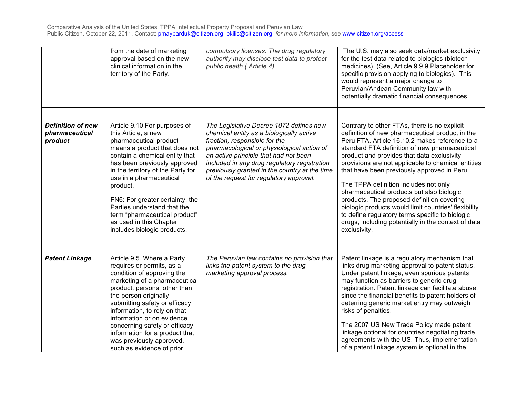|                                                       | from the date of marketing<br>approval based on the new<br>clinical information in the<br>territory of the Party.                                                                                                                                                                                                                                                                                                         | compulsory licenses. The drug regulatory<br>authority may disclose test data to protect<br>public health (Article 4).                                                                                                                                                                                                                                   | The U.S. may also seek data/market exclusivity<br>for the test data related to biologics (biotech<br>medicines). (See, Article 9.9.9 Placeholder for<br>specific provision applying to biologics). This<br>would represent a major change to<br>Peruvian/Andean Community law with<br>potentially dramatic financial consequences.                                                                                                                                                                                                                                                                                                                                          |
|-------------------------------------------------------|---------------------------------------------------------------------------------------------------------------------------------------------------------------------------------------------------------------------------------------------------------------------------------------------------------------------------------------------------------------------------------------------------------------------------|---------------------------------------------------------------------------------------------------------------------------------------------------------------------------------------------------------------------------------------------------------------------------------------------------------------------------------------------------------|-----------------------------------------------------------------------------------------------------------------------------------------------------------------------------------------------------------------------------------------------------------------------------------------------------------------------------------------------------------------------------------------------------------------------------------------------------------------------------------------------------------------------------------------------------------------------------------------------------------------------------------------------------------------------------|
| <b>Definition of new</b><br>pharmaceutical<br>product | Article 9.10 For purposes of<br>this Article, a new<br>pharmaceutical product<br>means a product that does not<br>contain a chemical entity that<br>has been previously approved<br>in the territory of the Party for<br>use in a pharmaceutical<br>product.<br>FN6: For greater certainty, the<br>Parties understand that the<br>term "pharmaceutical product"<br>as used in this Chapter<br>includes biologic products. | The Legislative Decree 1072 defines new<br>chemical entity as a biologically active<br>fraction, responsible for the<br>pharmacological or physiological action of<br>an active principle that had not been<br>included in any drug regulatory registration<br>previously granted in the country at the time<br>of the request for regulatory approval. | Contrary to other FTAs, there is no explicit<br>definition of new pharmaceutical product in the<br>Peru FTA. Article 16.10.2 makes reference to a<br>standard FTA definition of new pharmaceutical<br>product and provides that data exclusivity<br>provisions are not applicable to chemical entities<br>that have been previously approved in Peru.<br>The TPPA definition includes not only<br>pharmaceutical products but also biologic<br>products. The proposed definition covering<br>biologic products would limit countries' flexibility<br>to define regulatory terms specific to biologic<br>drugs, including potentially in the context of data<br>exclusivity. |
| <b>Patent Linkage</b>                                 | Article 9.5. Where a Party<br>requires or permits, as a<br>condition of approving the<br>marketing of a pharmaceutical<br>product, persons, other than<br>the person originally<br>submitting safety or efficacy<br>information, to rely on that<br>information or on evidence<br>concerning safety or efficacy<br>information for a product that<br>was previously approved,<br>such as evidence of prior                | The Peruvian law contains no provision that<br>links the patent system to the drug<br>marketing approval process.                                                                                                                                                                                                                                       | Patent linkage is a regulatory mechanism that<br>links drug marketing approval to patent status.<br>Under patent linkage, even spurious patents<br>may function as barriers to generic drug<br>registration. Patent linkage can facilitate abuse,<br>since the financial benefits to patent holders of<br>deterring generic market entry may outweigh<br>risks of penalties.<br>The 2007 US New Trade Policy made patent<br>linkage optional for countries negotiating trade<br>agreements with the US. Thus, implementation<br>of a patent linkage system is optional in the                                                                                               |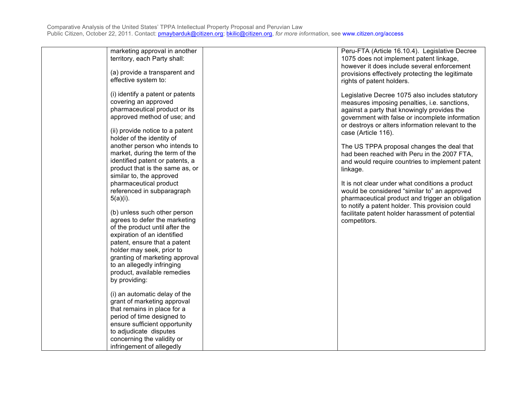| marketing approval in another<br>territory, each Party shall:<br>(a) provide a transparent and<br>effective system to:                                                                                                    | Peru-FTA (Article 16.10.4). Legislative Decree<br>1075 does not implement patent linkage,<br>however it does include several enforcement<br>provisions effectively protecting the legitimate<br>rights of patent holders.                                                                                                   |
|---------------------------------------------------------------------------------------------------------------------------------------------------------------------------------------------------------------------------|-----------------------------------------------------------------------------------------------------------------------------------------------------------------------------------------------------------------------------------------------------------------------------------------------------------------------------|
| (i) identify a patent or patents<br>covering an approved<br>pharmaceutical product or its<br>approved method of use; and<br>(ii) provide notice to a patent<br>holder of the identity of<br>another person who intends to | Legislative Decree 1075 also includes statutory<br>measures imposing penalties, i.e. sanctions,<br>against a party that knowingly provides the<br>government with false or incomplete information<br>or destroys or alters information relevant to the<br>case (Article 116).<br>The US TPPA proposal changes the deal that |
| market, during the term of the<br>identified patent or patents, a<br>product that is the same as, or<br>similar to, the approved<br>pharmaceutical product                                                                | had been reached with Peru in the 2007 FTA,<br>and would require countries to implement patent<br>linkage.<br>It is not clear under what conditions a product                                                                                                                                                               |
| referenced in subparagraph<br>$5(a)(i)$ .<br>(b) unless such other person                                                                                                                                                 | would be considered "similar to" an approved<br>pharmaceutical product and trigger an obligation<br>to notify a patent holder. This provision could<br>facilitate patent holder harassment of potential                                                                                                                     |
| agrees to defer the marketing<br>of the product until after the<br>expiration of an identified<br>patent, ensure that a patent                                                                                            | competitors.                                                                                                                                                                                                                                                                                                                |
| holder may seek, prior to<br>granting of marketing approval<br>to an allegedly infringing<br>product, available remedies<br>by providing:                                                                                 |                                                                                                                                                                                                                                                                                                                             |
| (i) an automatic delay of the<br>grant of marketing approval<br>that remains in place for a<br>period of time designed to<br>ensure sufficient opportunity<br>to adjudicate disputes                                      |                                                                                                                                                                                                                                                                                                                             |
| concerning the validity or<br>infringement of allegedly                                                                                                                                                                   |                                                                                                                                                                                                                                                                                                                             |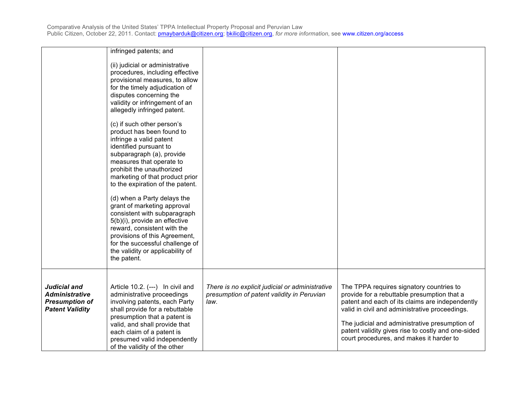|                                                                                          | infringed patents; and                                                                                                                                                                                                                                                                                                                                                                                                                                                                                                                                         |                                                                                                       |                                                                                                                                                                                                                                                                                                                                                  |
|------------------------------------------------------------------------------------------|----------------------------------------------------------------------------------------------------------------------------------------------------------------------------------------------------------------------------------------------------------------------------------------------------------------------------------------------------------------------------------------------------------------------------------------------------------------------------------------------------------------------------------------------------------------|-------------------------------------------------------------------------------------------------------|--------------------------------------------------------------------------------------------------------------------------------------------------------------------------------------------------------------------------------------------------------------------------------------------------------------------------------------------------|
|                                                                                          | (ii) judicial or administrative<br>procedures, including effective<br>provisional measures, to allow<br>for the timely adjudication of<br>disputes concerning the<br>validity or infringement of an<br>allegedly infringed patent.                                                                                                                                                                                                                                                                                                                             |                                                                                                       |                                                                                                                                                                                                                                                                                                                                                  |
|                                                                                          | (c) if such other person's<br>product has been found to<br>infringe a valid patent<br>identified pursuant to<br>subparagraph (a), provide<br>measures that operate to<br>prohibit the unauthorized<br>marketing of that product prior<br>to the expiration of the patent.<br>(d) when a Party delays the<br>grant of marketing approval<br>consistent with subparagraph<br>5(b)(i), provide an effective<br>reward, consistent with the<br>provisions of this Agreement,<br>for the successful challenge of<br>the validity or applicability of<br>the patent. |                                                                                                       |                                                                                                                                                                                                                                                                                                                                                  |
| Judicial and<br><b>Administrative</b><br><b>Presumption of</b><br><b>Patent Validity</b> | Article 10.2. (---) In civil and<br>administrative proceedings<br>involving patents, each Party<br>shall provide for a rebuttable<br>presumption that a patent is<br>valid, and shall provide that<br>each claim of a patent is<br>presumed valid independently<br>of the validity of the other                                                                                                                                                                                                                                                                | There is no explicit judicial or administrative<br>presumption of patent validity in Peruvian<br>law. | The TPPA requires signatory countries to<br>provide for a rebuttable presumption that a<br>patent and each of its claims are independently<br>valid in civil and administrative proceedings.<br>The judicial and administrative presumption of<br>patent validity gives rise to costly and one-sided<br>court procedures, and makes it harder to |